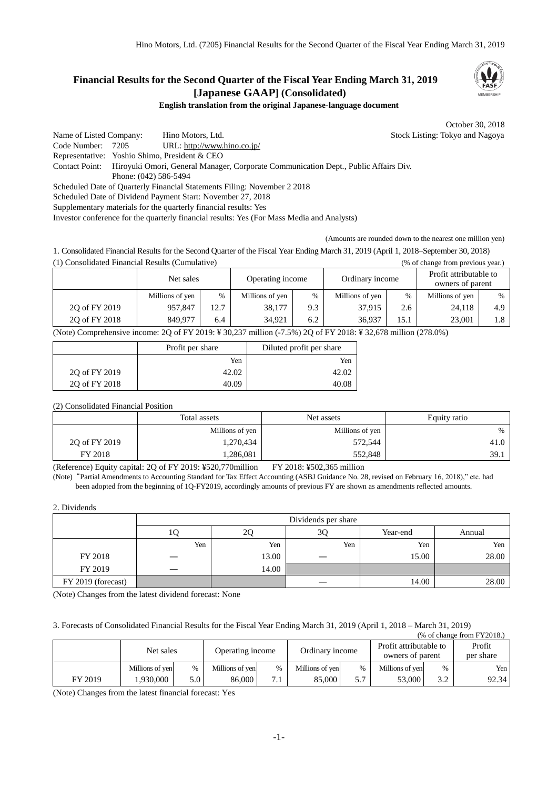# **Financial Results for the Second Quarter of the Fiscal Year Ending March 31, 2019 [Japanese GAAP] (Consolidated)**



## **English translation from the original Japanese-language document**

October 30, 2018

Name of Listed Company: Hino Motors, Ltd. Stock Listing: Tokyo and Nagoya Code Number: 7205 URL: http://www.hino.co.jp/ Representative: Yoshio Shimo, President & CEO Contact Point: Hiroyuki Omori, General Manager, Corporate Communication Dept., Public Affairs Div. Phone: (042) 586-5494 Scheduled Date of Quarterly Financial Statements Filing: November 2 2018 Scheduled Date of Dividend Payment Start: November 27, 2018 Supplementary materials for the quarterly financial results: Yes

Investor conference for the quarterly financial results: Yes (For Mass Media and Analysts)

(Amounts are rounded down to the nearest one million yen)

1. Consolidated Financial Results for the Second Quarter of the Fiscal Year Ending March 31, 2019 (April 1, 2018–September 30, 2018) (1) Consolidated Financial Results (Cumulative) (% of change from previous year.)

|               | Net sales       |      | Operating income |      | Ordinary income |      | Profit attributable to<br>owners of parent |      |
|---------------|-----------------|------|------------------|------|-----------------|------|--------------------------------------------|------|
|               | Millions of yen | $\%$ | Millions of yen  | $\%$ | Millions of yen | $\%$ | Millions of yen                            | $\%$ |
| 20 of FY 2019 | 957,847         | 12.7 | 38,177           | 9.3  | 37.915          | 2.6  | 24,118                                     | 4.9  |
| 20 of FY 2018 | 849.977         | 6.4  | 34.921           | 6.2  | 36.937          | 15.1 | 23.001                                     | 1.8  |

(Note) Comprehensive income: 2Q of FY 2019: ¥ 30,237 million (-7.5%) 2Q of FY 2018: ¥ 32,678 million (278.0%)

|               | Profit per share | Diluted profit per share |
|---------------|------------------|--------------------------|
|               | Yen              | Yen                      |
| 20 of FY 2019 | 42.02            | 42.02                    |
| 20 of FY 2018 | 40.09            | 40.08                    |

# (2) Consolidated Financial Position

|               | Total assets    | Net assets      | Equity ratio |  |
|---------------|-----------------|-----------------|--------------|--|
|               | Millions of yen | Millions of yen | $\%$         |  |
| 20 of FY 2019 | 1,270,434       | 572,544         | 41.0         |  |
| FY 2018       | 1,286,081       | 552,848         | 39.1         |  |

(Reference) Equity capital: 2Q of FY 2019: ¥520,770million FY 2018: ¥502,365 million

(Note)"Partial Amendments to Accounting Standard for Tax Effect Accounting (ASBJ Guidance No. 28, revised on February 16, 2018)," etc. had been adopted from the beginning of 1Q-FY2019, accordingly amounts of previous FY are shown as amendments reflected amounts.

### 2. Dividends

|                    | Dividends per share |       |     |          |        |  |  |  |
|--------------------|---------------------|-------|-----|----------|--------|--|--|--|
|                    | 10                  | 2Q    | 3Q  | Year-end | Annual |  |  |  |
|                    | Yen                 | Yen   | Yen | Yen      | Yen    |  |  |  |
| FY 2018            |                     | 13.00 |     | 15.00    | 28.00  |  |  |  |
| FY 2019            |                     | 14.00 |     |          |        |  |  |  |
| FY 2019 (forecast) |                     |       |     | 14.00    | 28.00  |  |  |  |

(Note) Changes from the latest dividend forecast: None

3. Forecasts of Consolidated Financial Results for the Fiscal Year Ending March 31, 2019 (April 1, 2018 – March 31, 2019)  $(552010)$ 

|         | Net sales       |                  | Operating income |               | Ordinary income |               | (70 ОГСПАНЕС ПОШ Г ГАОТО.)<br>Profit attributable to<br>owners of parent |      | Profit<br>per share |
|---------|-----------------|------------------|------------------|---------------|-----------------|---------------|--------------------------------------------------------------------------|------|---------------------|
|         | Millions of yen | $\%$             | Millions of yen  | $\frac{0}{0}$ | Millions of yen | $\frac{0}{0}$ | Millions of yen                                                          | $\%$ | Yen I               |
| FY 2019 | 1.930.000       | 5.0 <sup>1</sup> | 86.000           | 7             | 85,000          | 5.7           | 53,000                                                                   | 3.2  | 92.34               |

(Note) Changes from the latest financial forecast: Yes